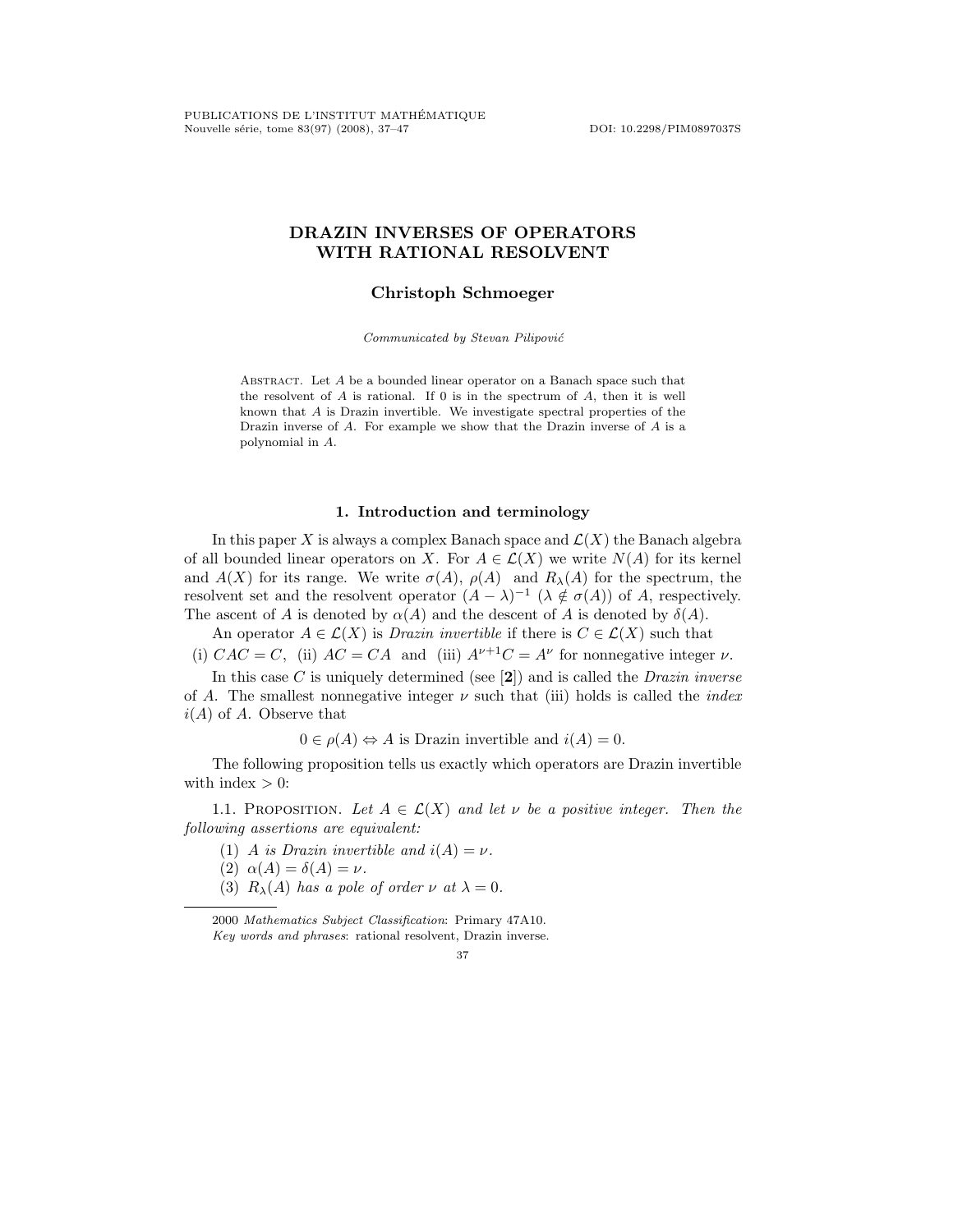# **DRAZIN INVERSES OF OPERATORS WITH RATIONAL RESOLVENT**

# **Christoph Schmoeger**

*Communicated by Stevan Pilipovi´c*

Abstract. Let *A* be a bounded linear operator on a Banach space such that the resolvent of *A* is rational. If 0 is in the spectrum of *A*, then it is well known that *A* is Drazin invertible. We investigate spectral properties of the Drazin inverse of *A*. For example we show that the Drazin inverse of *A* is a polynomial in *A*.

## **1. Introduction and terminology**

In this paper X is always a complex Banach space and  $\mathcal{L}(X)$  the Banach algebra of all bounded linear operators on X. For  $A \in \mathcal{L}(X)$  we write  $N(A)$  for its kernel and  $A(X)$  for its range. We write  $\sigma(A)$ ,  $\rho(A)$  and  $R_{\lambda}(A)$  for the spectrum, the resolvent set and the resolvent operator  $(A - \lambda)^{-1}$   $(\lambda \notin \sigma(A))$  of A, respectively. The ascent of A is denoted by  $\alpha(A)$  and the descent of A is denoted by  $\delta(A)$ .

An operator  $A \in \mathcal{L}(X)$  is *Drazin invertible* if there is  $C \in \mathcal{L}(X)$  such that

(i)  $CAC = C$ , (ii)  $AC = CA$  and (iii)  $A^{\nu+1}C = A^{\nu}$  for nonnegative integer  $\nu$ .

In this case C is uniquely determined (see [**2**]) and is called the *Drazin inverse* of A. The smallest nonnegative integer ν such that (iii) holds is called the *index*  $i(A)$  of A. Observe that

 $0 \in \rho(A) \Leftrightarrow A$  is Drazin invertible and  $i(A)=0$ .

The following proposition tells us exactly which operators are Drazin invertible with index  $> 0$ :

1.1. PROPOSITION. Let  $A \in \mathcal{L}(X)$  and let v be a positive integer. Then the *following assertions are equivalent:*

- (1) A *is Drazin invertible and*  $i(A) = \nu$ .
- (2)  $\alpha(A) = \delta(A) = \nu$ .
- (3)  $R_{\lambda}(A)$  *has a pole of order*  $\nu$  *at*  $\lambda = 0$ *.*

2000 *Mathematics Subject Classification*: Primary 47A10. *Key words and phrases*: rational resolvent, Drazin inverse.

<sup>37</sup>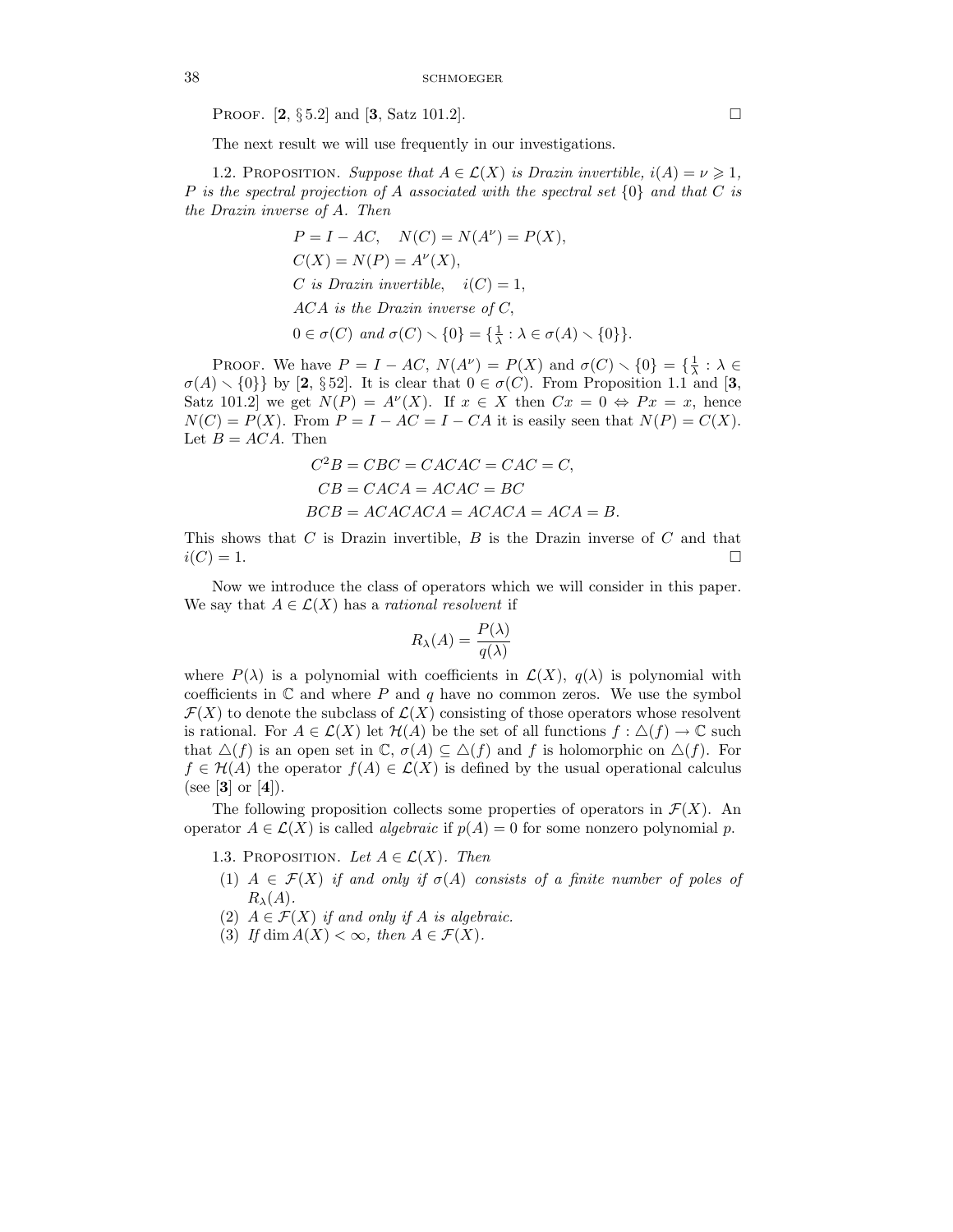**PROOF.** [2,  $\S 5.2$ ] and [3, Satz 101.2].

The next result we will use frequently in our investigations.

1.2. PROPOSITION. *Suppose that*  $A \in \mathcal{L}(X)$  *is Drazin invertible,*  $i(A) = \nu \geq 1$ , P *is the spectral projection of* A *associated with the spectral set* {0} *and that* C *is the Drazin inverse of* A*. Then*

> $P = I - AC$ ,  $N(C) = N(A^{\nu}) = P(X)$ ,  $C(X) = N(P) = A^{\nu}(X),$ C is Drazin invertible,  $i(C)=1$ , ACA *is the Drazin inverse of* C,  $0 \in \sigma(C)$  and  $\sigma(C) \setminus \{0\} = \{\frac{1}{\lambda} : \lambda \in \sigma(A) \setminus \{0\}\}.$

PROOF. We have  $P = I - AC$ ,  $N(A^{\nu}) = P(X)$  and  $\sigma(C) \setminus \{0\} = {\frac{1}{\lambda}: \lambda \in \mathbb{R} \setminus \{0\}}$  $\sigma(A) \setminus \{0\}$  by [2, §52]. It is clear that  $0 \in \sigma(C)$ . From Proposition 1.1 and [3, Satz 101.2 we get  $N(P) = A^{\nu}(X)$ . If  $x \in X$  then  $Cx = 0 \Leftrightarrow Px = x$ , hence  $N(C) = P(X)$ . From  $P = I - AC = I - CA$  it is easily seen that  $N(P) = C(X)$ . Let  $B = ACA$ . Then

$$
C2B = CBC = CACAC = CAC = C,
$$
  
\n
$$
CB = CACA = ACAC = BC
$$
  
\n
$$
BCB = ACACACA = ACACA = ACA = B.
$$

This shows that  $C$  is Drazin invertible,  $B$  is the Drazin inverse of  $C$  and that  $i(C) = 1.$ 

Now we introduce the class of operators which we will consider in this paper. We say that  $A \in \mathcal{L}(X)$  has a *rational resolvent* if

$$
R_{\lambda}(A) = \frac{P(\lambda)}{q(\lambda)}
$$

where  $P(\lambda)$  is a polynomial with coefficients in  $\mathcal{L}(X)$ ,  $q(\lambda)$  is polynomial with coefficients in  $\mathbb C$  and where P and q have no common zeros. We use the symbol  $\mathcal{F}(X)$  to denote the subclass of  $\mathcal{L}(X)$  consisting of those operators whose resolvent is rational. For  $A \in \mathcal{L}(X)$  let  $\mathcal{H}(A)$  be the set of all functions  $f : \Delta(f) \to \mathbb{C}$  such that  $\Delta(f)$  is an open set in C,  $\sigma(A) \subseteq \Delta(f)$  and f is holomorphic on  $\Delta(f)$ . For  $f \in \mathcal{H}(A)$  the operator  $f(A) \in \mathcal{L}(X)$  is defined by the usual operational calculus (see [**3**] or [**4**]).

The following proposition collects some properties of operators in  $\mathcal{F}(X)$ . An operator  $A \in \mathcal{L}(X)$  is called *algebraic* if  $p(A) = 0$  for some nonzero polynomial p.

- 1.3. PROPOSITION. Let  $A \in \mathcal{L}(X)$ . Then
- (1)  $A \in \mathcal{F}(X)$  *if and only if*  $\sigma(A)$  *consists of a finite number of poles of*  $R_\lambda(A)$ .
- (2)  $A \in \mathcal{F}(X)$  *if and only if* A *is algebraic.*
- (3) If dim  $A(X) < \infty$ , then  $A \in \mathcal{F}(X)$ .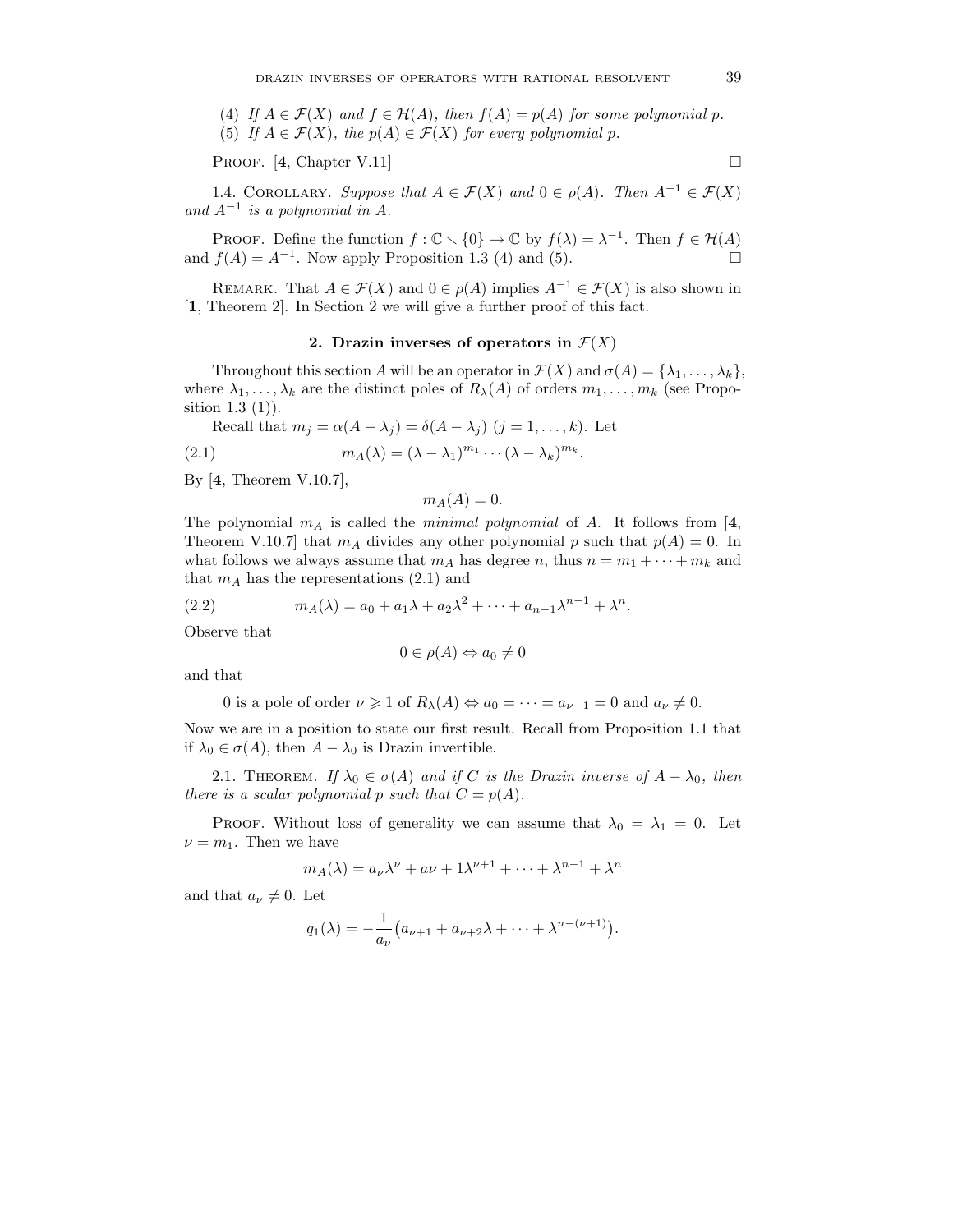(4) If  $A \in \mathcal{F}(X)$  and  $f \in \mathcal{H}(A)$ , then  $f(A) = p(A)$  for some polynomial p. (5) If  $A \in \mathcal{F}(X)$ , the  $p(A) \in \mathcal{F}(X)$  for every polynomial p.

PROOF.  $[4, Chapter V.11]$ 

1.4. COROLLARY. *Suppose that*  $A \in \mathcal{F}(X)$  and  $0 \in \rho(A)$ *. Then*  $A^{-1} \in \mathcal{F}(X)$ and  $A^{-1}$  *is a polynomial in A.* 

PROOF. Define the function  $f : \mathbb{C} \setminus \{0\} \to \mathbb{C}$  by  $f(\lambda) = \lambda^{-1}$ . Then  $f \in \mathcal{H}(A)$ and  $f(A) = A^{-1}$ . Now apply Proposition 1.3 (4) and (5).

REMARK. That  $A \in \mathcal{F}(X)$  and  $0 \in \rho(A)$  implies  $A^{-1} \in \mathcal{F}(X)$  is also shown in [**1**, Theorem 2]. In Section 2 we will give a further proof of this fact.

#### **2.** Drazin inverses of operators in  $\mathcal{F}(X)$

Throughout this section A will be an operator in  $\mathcal{F}(X)$  and  $\sigma(A) = {\lambda_1, \ldots, \lambda_k}$ , where  $\lambda_1,\ldots,\lambda_k$  are the distinct poles of  $R_\lambda(A)$  of orders  $m_1,\ldots,m_k$  (see Proposition  $1.3$   $(1)$ ).

Recall that 
$$
m_j = \alpha(A - \lambda_j) = \delta(A - \lambda_j)
$$
  $(j = 1, ..., k)$ . Let

(2.1) 
$$
m_A(\lambda) = (\lambda - \lambda_1)^{m_1} \cdots (\lambda - \lambda_k)^{m_k}.
$$

By [**4**, Theorem V.10.7],

$$
m_A(A)=0.
$$

The polynomial  $m_A$  is called the *minimal polynomial* of A. It follows from [4,] Theorem V.10.7] that  $m_A$  divides any other polynomial p such that  $p(A) = 0$ . In what follows we always assume that  $m_A$  has degree n, thus  $n = m_1 + \cdots + m_k$  and that  $m_A$  has the representations  $(2.1)$  and

(2.2) 
$$
m_A(\lambda) = a_0 + a_1 \lambda + a_2 \lambda^2 + \dots + a_{n-1} \lambda^{n-1} + \lambda^n.
$$

Observe that

$$
0\in\rho(A)\Leftrightarrow a_0\neq 0
$$

and that

0 is a pole of order  $\nu \geq 1$  of  $R_{\lambda}(A) \Leftrightarrow a_0 = \cdots = a_{\nu-1} = 0$  and  $a_{\nu} \neq 0$ .

Now we are in a position to state our first result. Recall from Proposition 1.1 that if  $\lambda_0 \in \sigma(A)$ , then  $A - \lambda_0$  is Drazin invertible.

2.1. THEOREM. *If*  $\lambda_0 \in \sigma(A)$  *and if* C *is the Drazin inverse of*  $A - \lambda_0$ *, then there is a scalar polynomial* p *such that*  $C = p(A)$ *.* 

PROOF. Without loss of generality we can assume that  $\lambda_0 = \lambda_1 = 0$ . Let  $\nu = m_1$ . Then we have

$$
m_A(\lambda) = a_\nu \lambda^\nu + a\nu + 1\lambda^{\nu+1} + \dots + \lambda^{n-1} + \lambda^n
$$

and that  $a_{\nu} \neq 0$ . Let

$$
q_1(\lambda) = -\frac{1}{a_{\nu}}(a_{\nu+1} + a_{\nu+2}\lambda + \dots + \lambda^{n-(\nu+1)}).
$$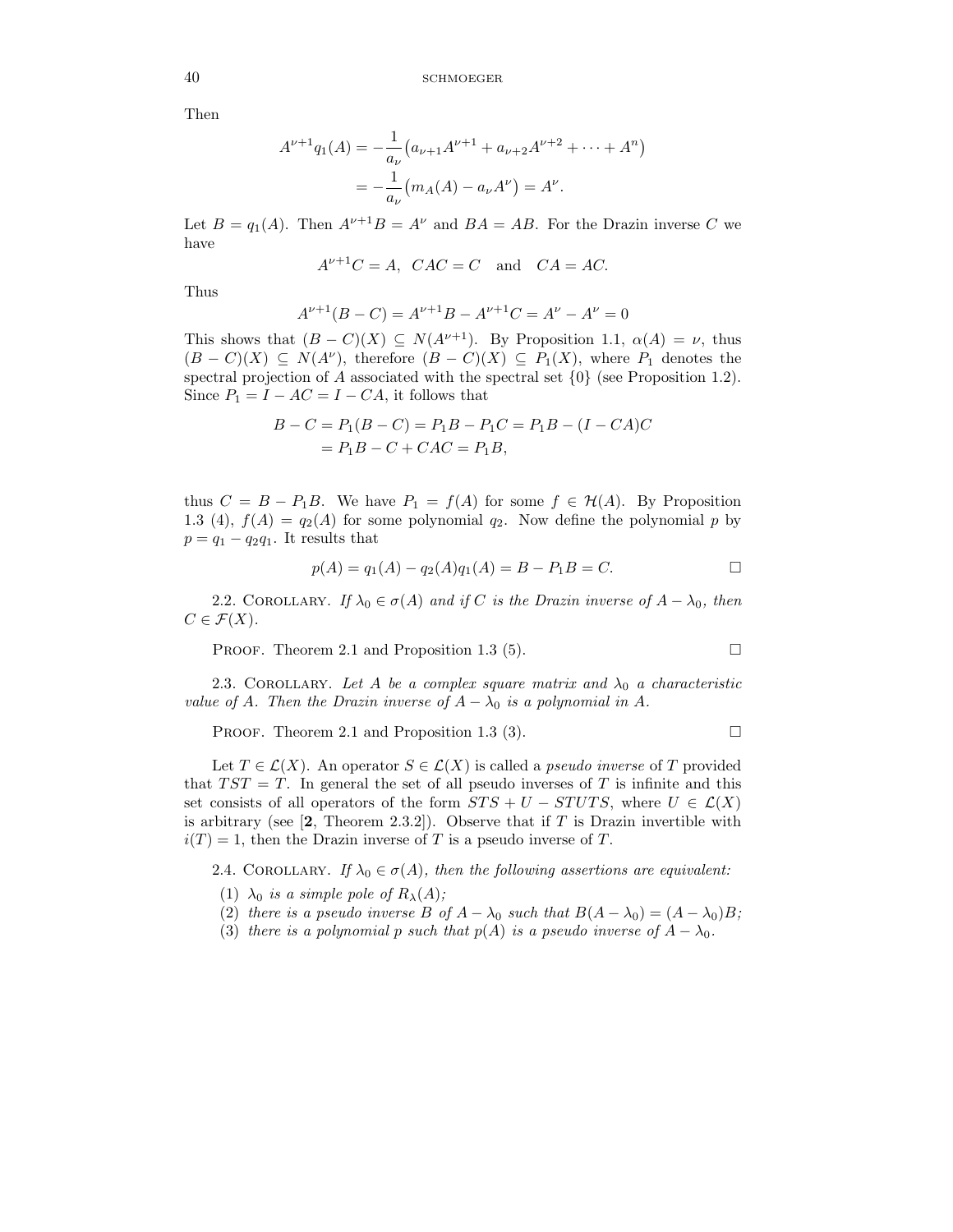Then

$$
A^{\nu+1}q_1(A) = -\frac{1}{a_{\nu}}(a_{\nu+1}A^{\nu+1} + a_{\nu+2}A^{\nu+2} + \dots + A^n)
$$
  
=  $-\frac{1}{a_{\nu}}(m_A(A) - a_{\nu}A^{\nu}) = A^{\nu}.$ 

Let  $B = q_1(A)$ . Then  $A^{\nu+1}B = A^{\nu}$  and  $BA = AB$ . For the Drazin inverse C we have

$$
A^{\nu+1}C = A, \quad CAC = C \quad \text{and} \quad CA = AC.
$$

Thus

$$
A^{\nu+1}(B - C) = A^{\nu+1}B - A^{\nu+1}C = A^{\nu} - A^{\nu} = 0
$$

This shows that  $(B - C)(X) \subseteq N(A^{\nu+1})$ . By Proposition 1.1,  $\alpha(A) = \nu$ , thus  $(B - C)(X) \subseteq N(A^{\nu})$ , therefore  $(B - C)(X) \subseteq P_1(X)$ , where  $P_1$  denotes the spectral projection of A associated with the spectral set  $\{0\}$  (see Proposition 1.2). Since  $P_1 = I - AC = I - CA$ , it follows that

$$
B - C = P_1(B - C) = P_1B - P_1C = P_1B - (I - CA)C
$$
  
= P<sub>1</sub>B - C + CAC = P<sub>1</sub>B,

thus  $C = B - P_1B$ . We have  $P_1 = f(A)$  for some  $f \in \mathcal{H}(A)$ . By Proposition 1.3 (4),  $f(A) = q_2(A)$  for some polynomial  $q_2$ . Now define the polynomial p by  $p = q_1 - q_2 q_1$ . It results that

$$
p(A) = q_1(A) - q_2(A)q_1(A) = B - P_1B = C.
$$

2.2. COROLLARY. *If*  $\lambda_0 \in \sigma(A)$  *and if* C *is the Drazin inverse of*  $A - \lambda_0$ *, then*  $C \in \mathcal{F}(X)$ .

PROOF. Theorem 2.1 and Proposition 1.3 (5).  $\Box$ 

2.3. COROLLARY. Let A be a complex square matrix and  $\lambda_0$  a characteristic *value of* A. Then the Drazin inverse of  $A - \lambda_0$  *is a polynomial in* A.

PROOF. Theorem 2.1 and Proposition 1.3 (3).  $\Box$ 

Let  $T \in \mathcal{L}(X)$ . An operator  $S \in \mathcal{L}(X)$  is called a *pseudo inverse* of T provided that  $TST = T$ . In general the set of all pseudo inverses of T is infinite and this set consists of all operators of the form  $STS + U - STUTS$ , where  $U \in \mathcal{L}(X)$ is arbitrary (see  $[2,$  Theorem 2.3.2]). Observe that if T is Drazin invertible with  $i(T) = 1$ , then the Drazin inverse of T is a pseudo inverse of T.

2.4. COROLLARY. *If*  $\lambda_0 \in \sigma(A)$ *, then the following assertions are equivalent:* 

- (1)  $\lambda_0$  *is a simple pole of*  $R_\lambda(A)$ ;
- (2) *there is a pseudo inverse*  $B$  *of*  $A \lambda_0$  *such that*  $B(A \lambda_0) = (A \lambda_0)B$ ;
- (3) *there is a polynomial* p *such that*  $p(A)$  *is a pseudo inverse of*  $A \lambda_0$ *.*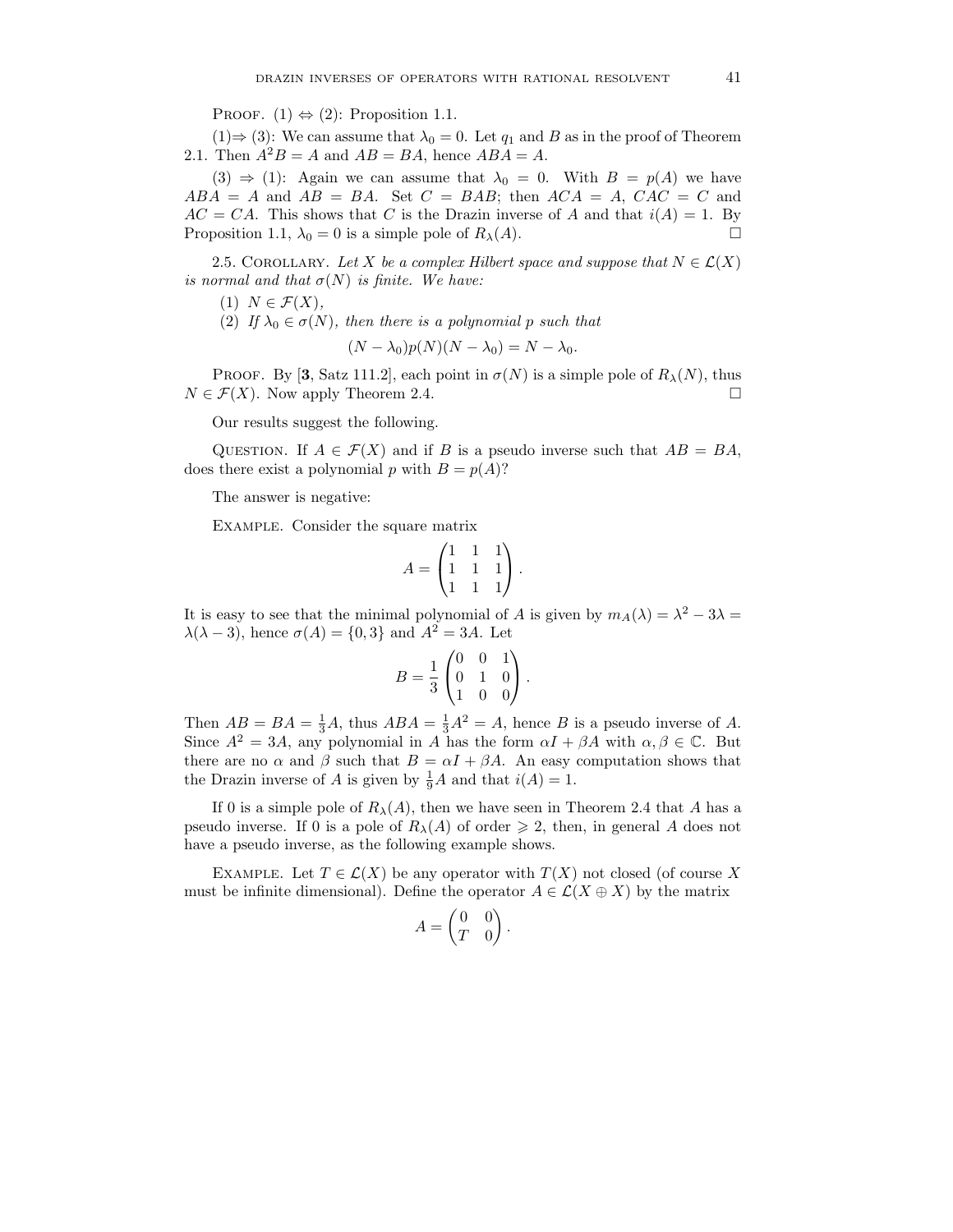PROOF.  $(1) \Leftrightarrow (2)$ : Proposition 1.1.

 $(1) \Rightarrow (3)$ : We can assume that  $\lambda_0 = 0$ . Let  $q_1$  and B as in the proof of Theorem 2.1. Then  $A^2B = A$  and  $AB = BA$ , hence  $ABA = A$ .

(3)  $\Rightarrow$  (1): Again we can assume that  $\lambda_0 = 0$ . With  $B = p(A)$  we have  $ABA = A$  and  $AB = BA$ . Set  $C = BAB$ ; then  $ACA = A$ ,  $CAC = C$  and  $AC = CA$ . This shows that C is the Drazin inverse of A and that  $i(A) = 1$ . By Proposition 1.1,  $\lambda_0 = 0$  is a simple pole of  $R_\lambda(A)$ .

2.5. COROLLARY. Let X be a complex Hilbert space and suppose that  $N \in \mathcal{L}(X)$ *is normal and that*  $\sigma(N)$  *is finite. We have:* 

 $(1)$   $N \in \mathcal{F}(X)$ ,

(2) If  $\lambda_0 \in \sigma(N)$ , then there is a polynomial p such that

$$
(N - \lambda_0)p(N)(N - \lambda_0) = N - \lambda_0.
$$

**PROOF.** By [3, Satz 111.2], each point in  $\sigma(N)$  is a simple pole of  $R_\lambda(N)$ , thus  $N \in \mathcal{F}(X)$ . Now apply Theorem 2.4.

Our results suggest the following.

QUESTION. If  $A \in \mathcal{F}(X)$  and if B is a pseudo inverse such that  $AB = BA$ , does there exist a polynomial p with  $B = p(A)$ ?

The answer is negative:

Example. Consider the square matrix

$$
A = \begin{pmatrix} 1 & 1 & 1 \\ 1 & 1 & 1 \\ 1 & 1 & 1 \end{pmatrix}.
$$

It is easy to see that the minimal polynomial of A is given by  $m_A(\lambda) = \lambda^2 - 3\lambda =$  $\lambda(\lambda - 3)$ , hence  $\sigma(A) = \{0, 3\}$  and  $A^2 = 3A$ . Let

$$
B = \frac{1}{3} \begin{pmatrix} 0 & 0 & 1 \\ 0 & 1 & 0 \\ 1 & 0 & 0 \end{pmatrix}.
$$

Then  $AB = BA = \frac{1}{3}A$ , thus  $ABA = \frac{1}{3}A^2 = A$ , hence B is a pseudo inverse of A. Since  $A^2 = 3A$ , any polynomial in A has the form  $\alpha I + \beta A$  with  $\alpha, \beta \in \mathbb{C}$ . But there are no  $\alpha$  and  $\beta$  such that  $B = \alpha I + \beta A$ . An easy computation shows that the Drazin inverse of A is given by  $\frac{1}{9}A$  and that  $i(A) = 1$ .

If 0 is a simple pole of  $R_{\lambda}(A)$ , then we have seen in Theorem 2.4 that A has a pseudo inverse. If 0 is a pole of  $R_{\lambda}(A)$  of order  $\geq 2$ , then, in general A does not have a pseudo inverse, as the following example shows.

EXAMPLE. Let  $T \in \mathcal{L}(X)$  be any operator with  $T(X)$  not closed (of course X must be infinite dimensional). Define the operator  $A \in \mathcal{L}(X \oplus X)$  by the matrix

$$
A = \begin{pmatrix} 0 & 0 \\ T & 0 \end{pmatrix}.
$$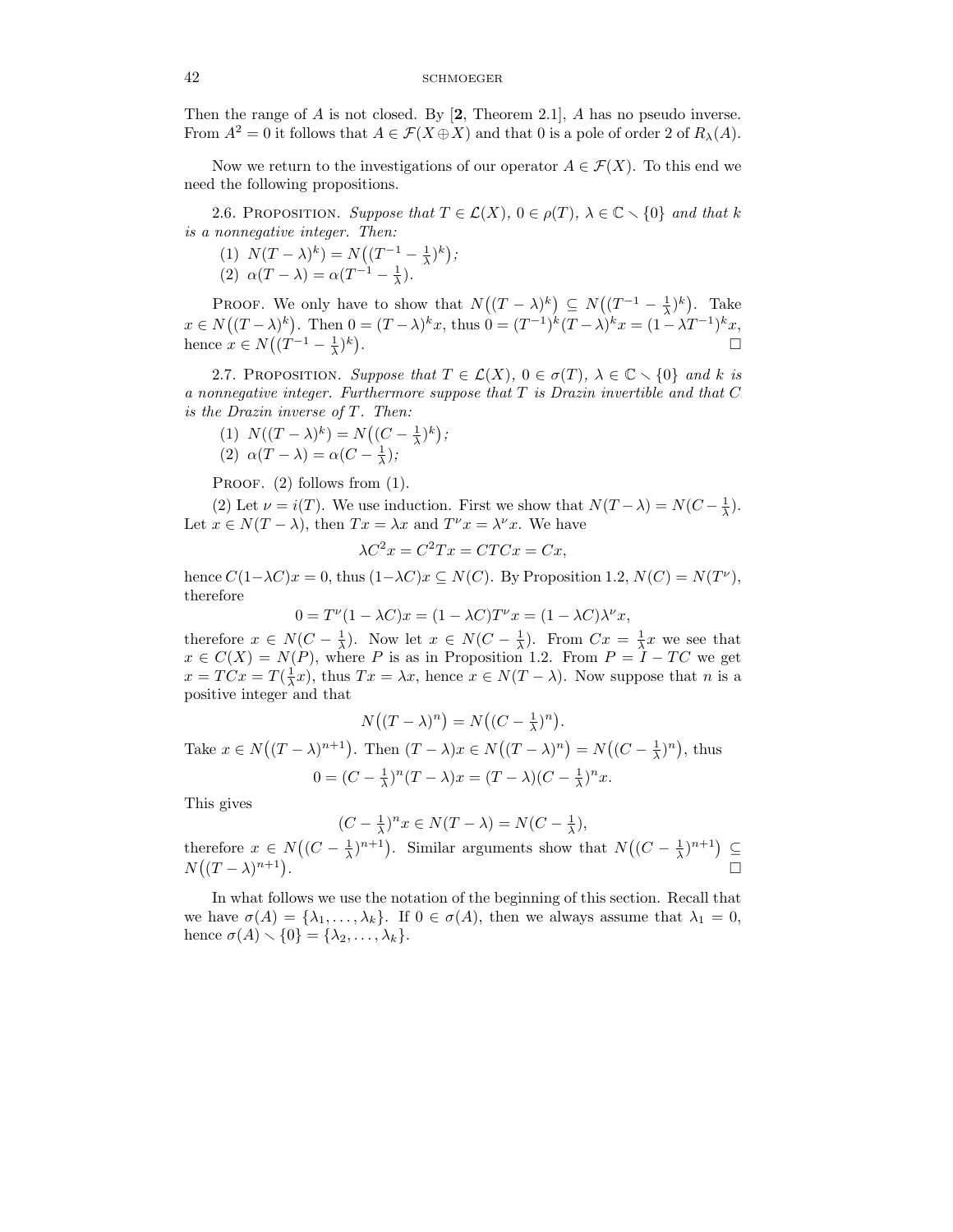Then the range of A is not closed. By [**2**, Theorem 2.1], A has no pseudo inverse. From  $A^2 = 0$  it follows that  $A \in \mathcal{F}(X \oplus X)$  and that 0 is a pole of order 2 of  $R_\lambda(A)$ .

Now we return to the investigations of our operator  $A \in \mathcal{F}(X)$ . To this end we need the following propositions.

2.6. PROPOSITION. *Suppose that*  $T \in \mathcal{L}(X)$ ,  $0 \in \rho(T)$ ,  $\lambda \in \mathbb{C} \setminus \{0\}$  *and that* k *is a nonnegative integer. Then:*

(1)  $N(T - \lambda)^k$  =  $N((T^{-1} - \frac{1}{\lambda})^k)$ ; (2)  $\alpha(T - \lambda) = \alpha(T^{-1} - \frac{1}{\lambda}).$ 

PROOF. We only have to show that  $N((T - \lambda)^k) \subseteq N((T^{-1} - \frac{1}{\lambda})^k)$ . Take  $x \in N((T - \lambda)^k)$ . Then  $0 = (T - \lambda)^k x$ , thus  $0 = (T^{-1})^k (T - \lambda)^k x = (1 - \lambda T^{-1})^k x$ , hence  $x \in N((T^{-1} - \frac{1}{\lambda})^k)$ .

2.7. PROPOSITION. *Suppose that*  $T \in \mathcal{L}(X)$ ,  $0 \in \sigma(T)$ ,  $\lambda \in \mathbb{C} \setminus \{0\}$  and k is *a nonnegative integer. Furthermore suppose that* T *is Drazin invertible and that* C *is the Drazin inverse of* T*. Then:*

(1)  $N((T - \lambda)^k) = N((C - \frac{1}{\lambda})^k);$ (2)  $\alpha(T - \lambda) = \alpha(C - \frac{1}{\lambda});$ 

PROOF. (2) follows from (1).

(2) Let  $\nu = i(T)$ . We use induction. First we show that  $N(T - \lambda) = N(C - \frac{1}{\lambda})$ . Let  $x \in N(T - \lambda)$ , then  $Tx = \lambda x$  and  $T^{\nu}x = \lambda^{\nu}x$ . We have

$$
\lambda C^2 x = C^2 Tx = CTCx = Cx,
$$

hence  $C(1-\lambda C)x = 0$ , thus  $(1-\lambda C)x \subseteq N(C)$ . By Proposition 1.2,  $N(C) = N(T^{\nu})$ , therefore

$$
0 = T^{\nu}(1 - \lambda C)x = (1 - \lambda C)T^{\nu}x = (1 - \lambda C)\lambda^{\nu}x,
$$

therefore  $x \in N(C - \frac{1}{\lambda})$ . Now let  $x \in N(C - \frac{1}{\lambda})$ . From  $Cx = \frac{1}{\lambda}x$  we see that  $x \in C(X) = N(P)$ , where P is as in Proposition 1.2. From  $P = I - TC$  we get  $x = TCx = T(\frac{1}{\lambda}x)$ , thus  $Tx = \lambda x$ , hence  $x \in N(T - \lambda)$ . Now suppose that n is a positive integer and that

$$
N((T - \lambda)^n) = N((C - \frac{1}{\lambda})^n).
$$
  
Take  $x \in N((T - \lambda)^{n+1})$ . Then  $(T - \lambda)x \in N((T - \lambda)^n) = N((C - \frac{1}{\lambda})^n)$ , thus  

$$
0 = (C - \frac{1}{\lambda})^n(T - \lambda)x = (T - \lambda)(C - \frac{1}{\lambda})^n x.
$$

This gives

$$
(C - \frac{1}{\lambda})^n x \in N(T - \lambda) = N(C - \frac{1}{\lambda}),
$$

therefore  $x \in N((C - \frac{1}{\lambda})^{n+1})$ . Similar arguments show that  $N((C - \frac{1}{\lambda})^{n+1}) \subseteq N((T - \lambda)^{n+1})$ .  $N((T - \lambda)^{n+1})$ 

In what follows we use the notation of the beginning of this section. Recall that we have  $\sigma(A) = {\lambda_1, \ldots, \lambda_k}$ . If  $0 \in \sigma(A)$ , then we always assume that  $\lambda_1 = 0$ , hence  $\sigma(A) \setminus \{0\} = \{\lambda_2, \ldots, \lambda_k\}.$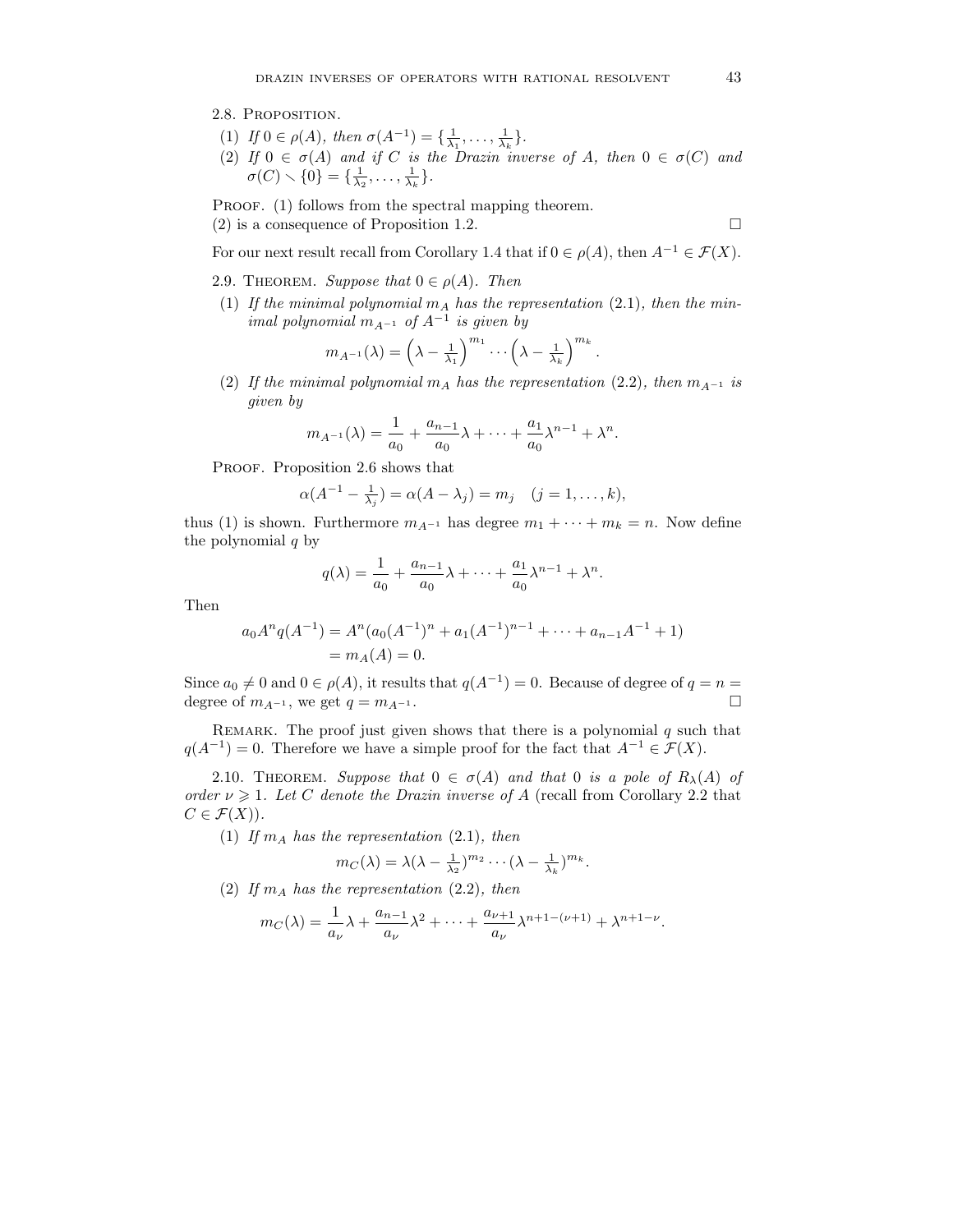#### 2.8. Proposition.

- (1) *If*  $0 \in \rho(A)$ *, then*  $\sigma(A^{-1}) = {\frac{1}{\lambda_1}, \dots, \frac{1}{\lambda_k}}.$
- (2) If  $0 \in \sigma(A)$  and if C is the Drazin inverse of A, then  $0 \in \sigma(C)$  and  $\sigma(C) \setminus \{0\} = \{\frac{1}{\lambda_2}, \ldots, \frac{1}{\lambda_k}\}.$

PROOF. (1) follows from the spectral mapping theorem. (2) is a consequence of Proposition 1.2.

$$
\Box
$$

For our next result recall from Corollary 1.4 that if  $0 \in \rho(A)$ , then  $A^{-1} \in \mathcal{F}(X)$ .

- 2.9. THEOREM. *Suppose that*  $0 \in \rho(A)$ . *Then*
- (1) If the minimal polynomial  $m_A$  has the representation (2.1), then the min*imal polynomial*  $m_{A^{-1}}$  *of*  $A^{-1}$  *is given by*

$$
m_{A^{-1}}(\lambda) = \left(\lambda - \frac{1}{\lambda_1}\right)^{m_1} \cdots \left(\lambda - \frac{1}{\lambda_k}\right)^{m_k}.
$$

(2) If the minimal polynomial  $m_A$  has the representation (2.2), then  $m_{A^{-1}}$  is *given by*

$$
m_{A^{-1}}(\lambda) = \frac{1}{a_0} + \frac{a_{n-1}}{a_0} \lambda + \dots + \frac{a_1}{a_0} \lambda^{n-1} + \lambda^n.
$$

PROOF. Proposition 2.6 shows that

$$
\alpha(A^{-1} - \frac{1}{\lambda_j}) = \alpha(A - \lambda_j) = m_j \quad (j = 1, ..., k),
$$

thus (1) is shown. Furthermore  $m_{A^{-1}}$  has degree  $m_1 + \cdots + m_k = n$ . Now define the polynomial  $q$  by

$$
q(\lambda) = \frac{1}{a_0} + \frac{a_{n-1}}{a_0} \lambda + \dots + \frac{a_1}{a_0} \lambda^{n-1} + \lambda^n.
$$

Then

$$
a_0 A^n q(A^{-1}) = A^n (a_0(A^{-1})^n + a_1(A^{-1})^{n-1} + \dots + a_{n-1}A^{-1} + 1)
$$
  
=  $m_A(A) = 0$ .

Since  $a_0 \neq 0$  and  $0 \in \rho(A)$ , it results that  $q(A^{-1}) = 0$ . Because of degree of  $q = n =$ degree of  $m_{A^{-1}}$ , we get  $q = m_{A^{-1}}$ .

REMARK. The proof just given shows that there is a polynomial  $q$  such that  $q(A^{-1}) = 0$ . Therefore we have a simple proof for the fact that  $A^{-1} \in \mathcal{F}(X)$ .

2.10. THEOREM. *Suppose that*  $0 \in \sigma(A)$  *and that* 0 *is a pole of*  $R_{\lambda}(A)$  *of order*  $\nu \geq 1$ *. Let* C *denote the Drazin inverse of* A (recall from Corollary 2.2 that  $C \in \mathcal{F}(X)$ ).

(1) If  $m_A$  has the representation (2.1), then

$$
m_C(\lambda) = \lambda(\lambda - \frac{1}{\lambda_2})^{m_2} \cdots (\lambda - \frac{1}{\lambda_k})^{m_k}.
$$

(2) If  $m_A$  has the representation (2.2), then

$$
m_C(\lambda) = \frac{1}{a_{\nu}} \lambda + \frac{a_{n-1}}{a_{\nu}} \lambda^2 + \dots + \frac{a_{\nu+1}}{a_{\nu}} \lambda^{n+1-(\nu+1)} + \lambda^{n+1-\nu}.
$$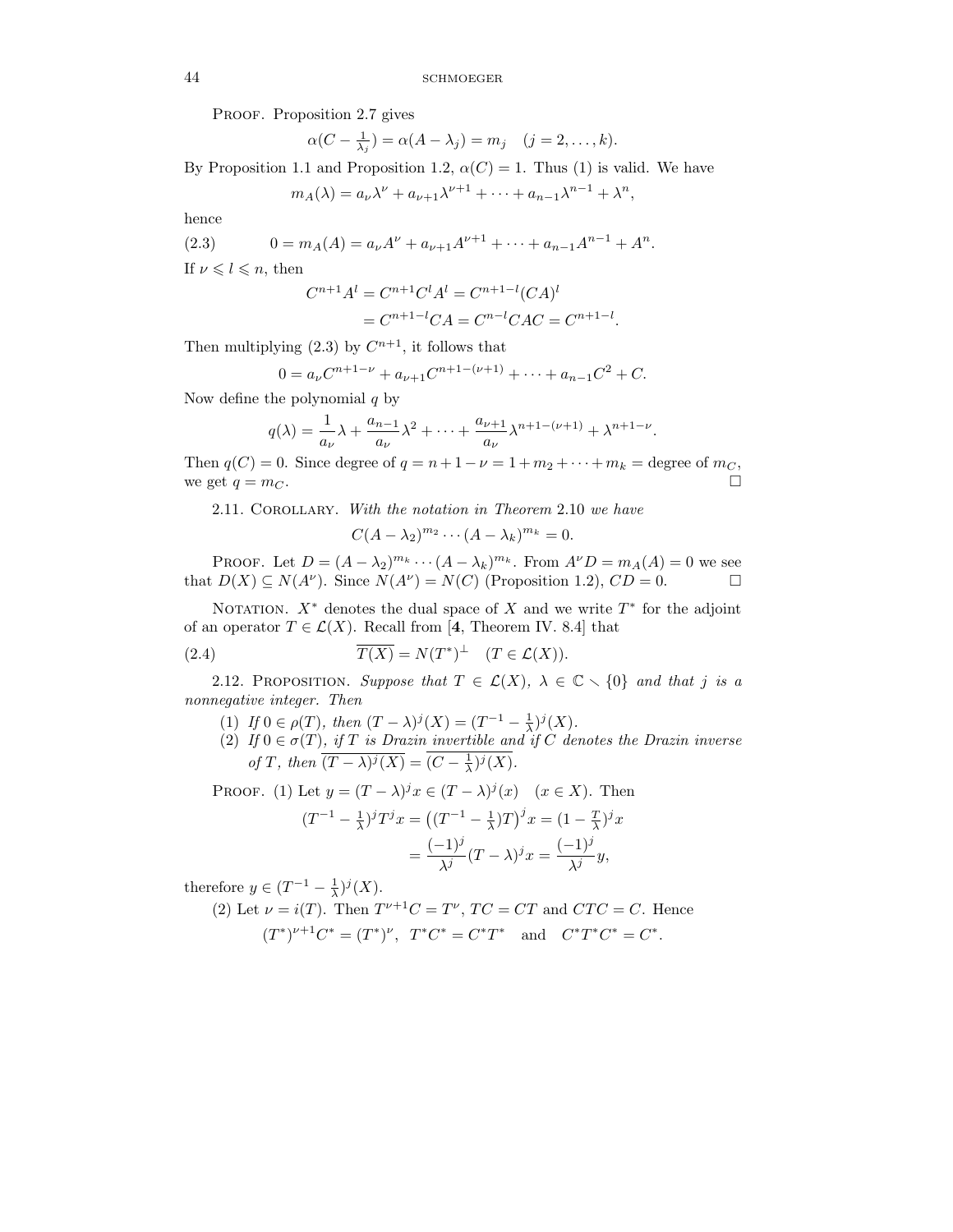PROOF. Proposition 2.7 gives

$$
\alpha(C - \frac{1}{\lambda_j}) = \alpha(A - \lambda_j) = m_j \quad (j = 2, \dots, k).
$$

By Proposition 1.1 and Proposition 1.2,  $\alpha(C) = 1$ . Thus (1) is valid. We have

$$
m_A(\lambda) = a_\nu \lambda^\nu + a_{\nu+1} \lambda^{\nu+1} + \dots + a_{n-1} \lambda^{n-1} + \lambda^n,
$$

hence

(2.3) 
$$
0 = m_A(A) = a_{\nu}A^{\nu} + a_{\nu+1}A^{\nu+1} + \cdots + a_{n-1}A^{n-1} + A^n.
$$

If  $\nu \leq l \leq n$ , then

$$
C^{n+1}A^{l} = C^{n+1}C^{l}A^{l} = C^{n+1-l}(CA)^{l}
$$

$$
= C^{n+1-l}CA = C^{n-l}CAC = C^{n+1-l}
$$

.

Then multiplying (2.3) by  $C^{n+1}$ , it follows that

$$
0 = a_{\nu}C^{n+1-\nu} + a_{\nu+1}C^{n+1-(\nu+1)} + \dots + a_{n-1}C^2 + C.
$$

Now define the polynomial  $q$  by

$$
q(\lambda) = \frac{1}{a_{\nu}} \lambda + \frac{a_{n-1}}{a_{\nu}} \lambda^2 + \dots + \frac{a_{\nu+1}}{a_{\nu}} \lambda^{n+1-(\nu+1)} + \lambda^{n+1-\nu}.
$$

Then  $q(C) = 0$ . Since degree of  $q = n + 1 - \nu = 1 + m_2 + \cdots + m_k =$  degree of  $m_C$ , we get  $q = m_C$ .

2.11. Corollary. *With the notation in Theorem* 2.10 *we have*

$$
C(A - \lambda_2)^{m_2} \cdots (A - \lambda_k)^{m_k} = 0.
$$

PROOF. Let  $D = (A - \lambda_2)^{m_k} \cdots (A - \lambda_k)^{m_k}$ . From  $A^{\nu}D = m_A(A) = 0$  we see that  $D(X) \subseteq N(A^{\nu})$ . Since  $N(A^{\nu}) = N(C)$  (Proposition 1.2),  $CD = 0$ .

NOTATION.  $X^*$  denotes the dual space of X and we write  $T^*$  for the adjoint of an operator  $T \in \mathcal{L}(X)$ . Recall from [4, Theorem IV. 8.4] that

(2.4) 
$$
\overline{T(X)} = N(T^*)^{\perp} \quad (T \in \mathcal{L}(X)).
$$

2.12. PROPOSITION. Suppose that  $T \in \mathcal{L}(X)$ ,  $\lambda \in \mathbb{C} \setminus \{0\}$  and that j is a *nonnegative integer. Then*

- (1) *If*  $0 \in \rho(T)$ *, then*  $(T \lambda)^j(X) = (T^{-1} \frac{1}{\lambda})^j(X)$ *.*
- (2) *If*  $0 \in \sigma(T)$ *, if T is Drazin invertible and if C denotes the Drazin inverse of T*, then  $\overline{(T - \lambda)^j(X)} = (C - \frac{1}{\lambda})^j(X)$ .

PROOF. (1) Let  $y = (T - \lambda)^j x \in (T - \lambda)^j (x)$   $(x \in X)$ . Then

$$
(T^{-1} - \frac{1}{\lambda})^j T^j x = ((T^{-1} - \frac{1}{\lambda})T)^j x = (1 - \frac{T}{\lambda})^j x
$$

$$
= \frac{(-1)^j}{\lambda^j} (T - \lambda)^j x = \frac{(-1)^j}{\lambda^j} y,
$$

therefore  $y \in (T^{-1} - \frac{1}{\lambda})^j(X)$ .

(2) Let 
$$
\nu = i(T)
$$
. Then  $T^{\nu+1}C = T^{\nu}$ ,  $TC = CT$  and  $CTC = C$ . Hence  
\n $(T^*)^{\nu+1}C^* = (T^*)^{\nu}$ ,  $T^*C^* = C^*T^*$  and  $C^*T^*C^* = C^*$ .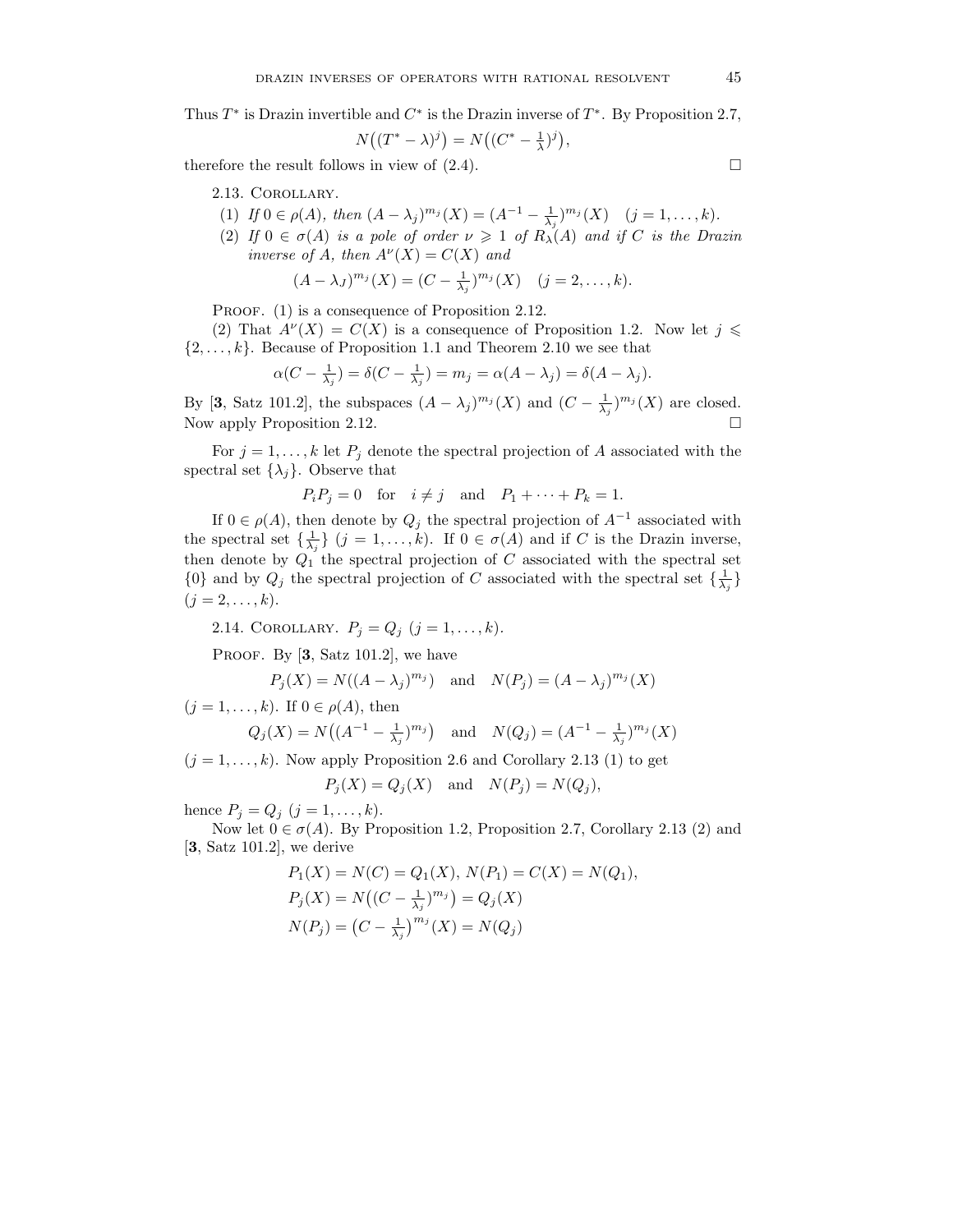Thus  $T^*$  is Drazin invertible and  $C^*$  is the Drazin inverse of  $T^*$ . By Proposition 2.7,

$$
N((T^* - \lambda)^j) = N((C^* - \frac{1}{\lambda})^j),
$$

therefore the result follows in view of  $(2.4)$ .

## 2.13. Corollary.

(1) *If*  $0 \in \rho(A)$ *, then*  $(A - \lambda_j)^{m_j}(X) = (A^{-1} - \frac{1}{\lambda_j})^{m_j}(X)$   $(j = 1, ..., k)$ *.* 

(2) If  $0 \in \sigma(A)$  *is a pole of order*  $\nu \geq 1$  *of*  $R_{\lambda}(A)$  *and if* C *is the Drazin inverse of A, then*  $A^{\nu}(X) = C(X)$  *and* 

$$
(A - \lambda_J)^{m_j}(X) = (C - \frac{1}{\lambda_j})^{m_j}(X) \quad (j = 2, ..., k).
$$

PROOF. (1) is a consequence of Proposition 2.12.

(2) That  $A^{\nu}(X) = C(X)$  is a consequence of Proposition 1.2. Now let  $j \leq$  $\{2,\ldots,k\}$ . Because of Proposition 1.1 and Theorem 2.10 we see that

$$
\alpha(C - \frac{1}{\lambda_j}) = \delta(C - \frac{1}{\lambda_j}) = m_j = \alpha(A - \lambda_j) = \delta(A - \lambda_j).
$$

By [3, Satz 101.2], the subspaces  $(A - \lambda_j)^{m_j}(X)$  and  $(C - \frac{1}{\lambda_j})^{m_j}(X)$  are closed. Now apply Proposition 2.12.

For  $j = 1, \ldots, k$  let  $P_j$  denote the spectral projection of A associated with the spectral set  $\{\lambda_j\}$ . Observe that

$$
P_i P_j = 0 \quad \text{for} \quad i \neq j \quad \text{and} \quad P_1 + \dots + P_k = 1.
$$

If  $0 \in \rho(A)$ , then denote by  $Q_j$  the spectral projection of  $A^{-1}$  associated with the spectral set  $\{\frac{1}{\lambda_j}\}\ (j=1,\ldots,k)$ . If  $0 \in \sigma(A)$  and if C is the Drazin inverse, then denote by  $Q_1$  the spectral projection of C associated with the spectral set  ${0}$  and by  $Q_j$  the spectral projection of C associated with the spectral set  $\{\frac{1}{\lambda_j}\}$  $(j = 2, \ldots, k).$ 

2.14. COROLLARY.  $P_j = Q_j$   $(j = 1, ..., k)$ .

PROOF. By  $[3, Satz 101.2]$ , we have

$$
P_j(X) = N((A - \lambda_j)^{m_j}) \quad \text{and} \quad N(P_j) = (A - \lambda_j)^{m_j}(X)
$$

 $(j = 1, \ldots, k)$ . If  $0 \in \rho(A)$ , then

$$
Q_j(X) = N((A^{-1} - \frac{1}{\lambda_j})^{m_j})
$$
 and  $N(Q_j) = (A^{-1} - \frac{1}{\lambda_j})^{m_j}(X)$ 

 $(j = 1, \ldots, k)$ . Now apply Proposition 2.6 and Corollary 2.13 (1) to get

$$
P_j(X) = Q_j(X) \quad \text{and} \quad N(P_j) = N(Q_j),
$$

hence  $P_j = Q_j \ (j = 1, ..., k).$ 

Now let  $0 \in \sigma(A)$ . By Proposition 1.2, Proposition 2.7, Corollary 2.13 (2) and [**3**, Satz 101.2], we derive

$$
P_1(X) = N(C) = Q_1(X), N(P_1) = C(X) = N(Q_1),
$$
  
\n
$$
P_j(X) = N((C - \frac{1}{\lambda_j})^{m_j}) = Q_j(X)
$$
  
\n
$$
N(P_j) = (C - \frac{1}{\lambda_j})^{m_j}(X) = N(Q_j)
$$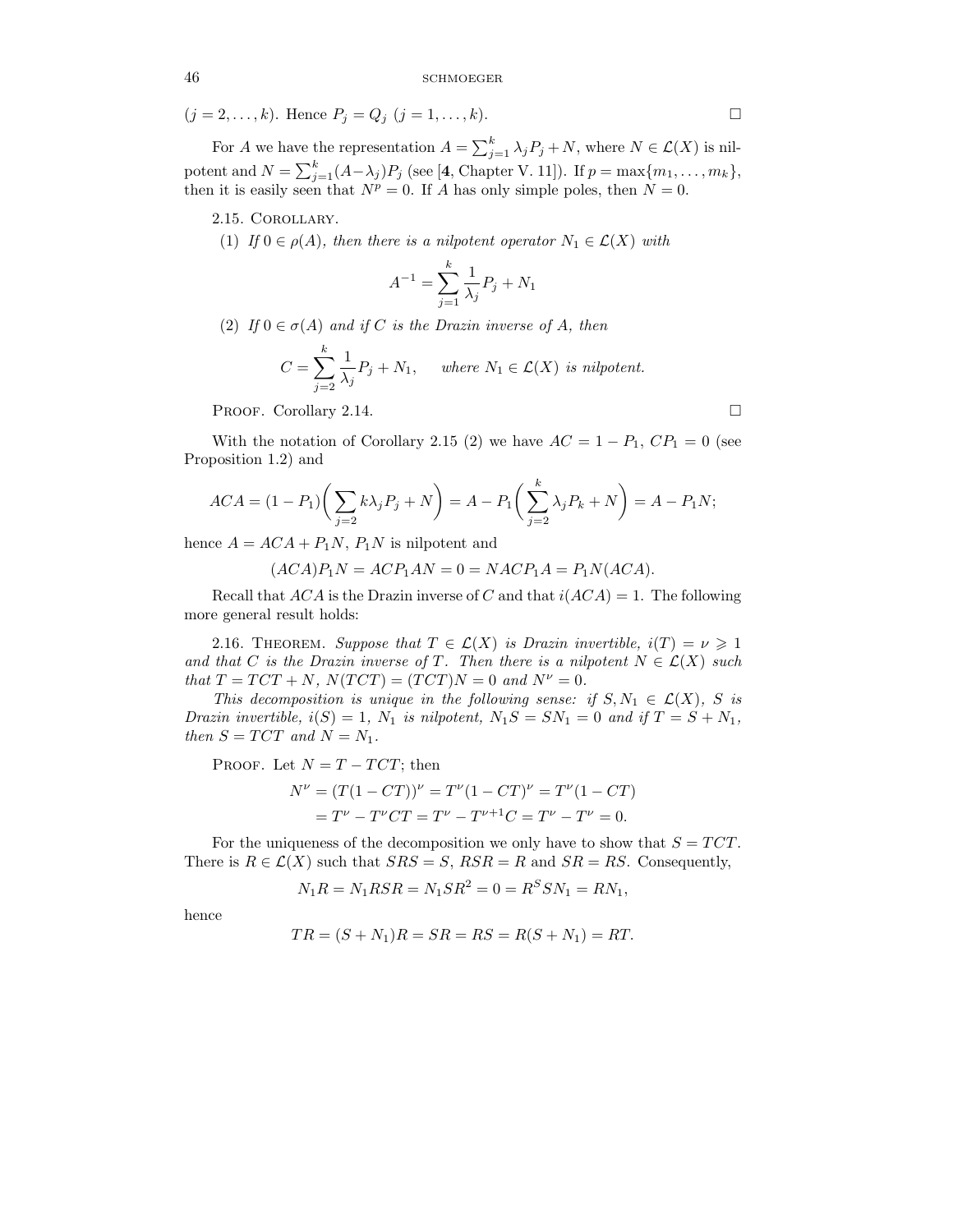$(j = 2, ..., k)$ . Hence  $P_j = Q_j$   $(j = 1, ..., k)$ .

For A we have the representation  $A = \sum_{j=1}^{k} \lambda_j P_j + N$ , where  $N \in \mathcal{L}(X)$  is nilpotent and  $N = \sum_{j=1}^{k} (A - \lambda_j)P_j$  (see [4, Chapter V. 11]). If  $p = \max\{m_1, \ldots, m_k\}$ , then it is easily seen that  $N^p = 0$ . If A has only simple poles, then  $N = 0$ .

2.15. Corollary.

(1) *If*  $0 \in \rho(A)$ *, then there is a nilpotent operator*  $N_1 \in \mathcal{L}(X)$  *with* 

$$
A^{-1} = \sum_{j=1}^{k} \frac{1}{\lambda_j} P_j + N_1
$$

(2) *If*  $0 \in \sigma(A)$  *and if* C *is the Drazin inverse of* A, *then* 

$$
C = \sum_{j=2}^{k} \frac{1}{\lambda_j} P_j + N_1, \quad \text{where } N_1 \in \mathcal{L}(X) \text{ is nilpotent.}
$$

PROOF. Corollary 2.14.

With the notation of Corollary 2.15 (2) we have  $AC = 1 - P_1$ ,  $CP_1 = 0$  (see Proposition 1.2) and

$$
ACA = (1 - P_1) \left( \sum_{j=2} k \lambda_j P_j + N \right) = A - P_1 \left( \sum_{j=2}^k \lambda_j P_k + N \right) = A - P_1 N;
$$

hence  $A = ACA + P_1N$ ,  $P_1N$  is nilpotent and

 $(ACA)P_1N = ACP_1AN = 0 = NACP_1A = P_1N(ACA).$ 

Recall that ACA is the Drazin inverse of C and that  $i(ACA) = 1$ . The following more general result holds:

2.16. THEOREM. *Suppose that*  $T \in \mathcal{L}(X)$  *is Drazin invertible,*  $i(T) = \nu \geq 1$ *and that* C *is the Drazin inverse of* T. Then there is a nilpotent  $N \in \mathcal{L}(X)$  such *that*  $T = TCT + N$ *,*  $N(TCT) = (TCT)N = 0$  *and*  $N^{\nu} = 0$ *.* 

*This decomposition is unique in the following sense: if*  $S, N_1 \in \mathcal{L}(X)$ *,* S *is Drazin invertible,*  $i(S) = 1$ ,  $N_1$  *is nilpotent,*  $N_1S = SN_1 = 0$  *and if*  $T = S + N_1$ , *then*  $S = TCT$  *and*  $N = N_1$ *.* 

PROOF. Let  $N = T - TCT$ ; then

$$
N^{\nu} = (T(1 - CT))^{\nu} = T^{\nu}(1 - CT)^{\nu} = T^{\nu}(1 - CT)
$$
  
=  $T^{\nu} - T^{\nu}CT = T^{\nu} - T^{\nu+1}C = T^{\nu} - T^{\nu} = 0.$ 

For the uniqueness of the decomposition we only have to show that  $S = TCT$ . There is  $R \in \mathcal{L}(X)$  such that  $SRS = S$ ,  $RSR = R$  and  $SR = RS$ . Consequently,

$$
N_1R = N_1RSR = N_1SR^2 = 0 = R^SSN_1 = RN_1,
$$

hence

$$
TR = (S + N_1)R = SR = RS = R(S + N_1) = RT.
$$